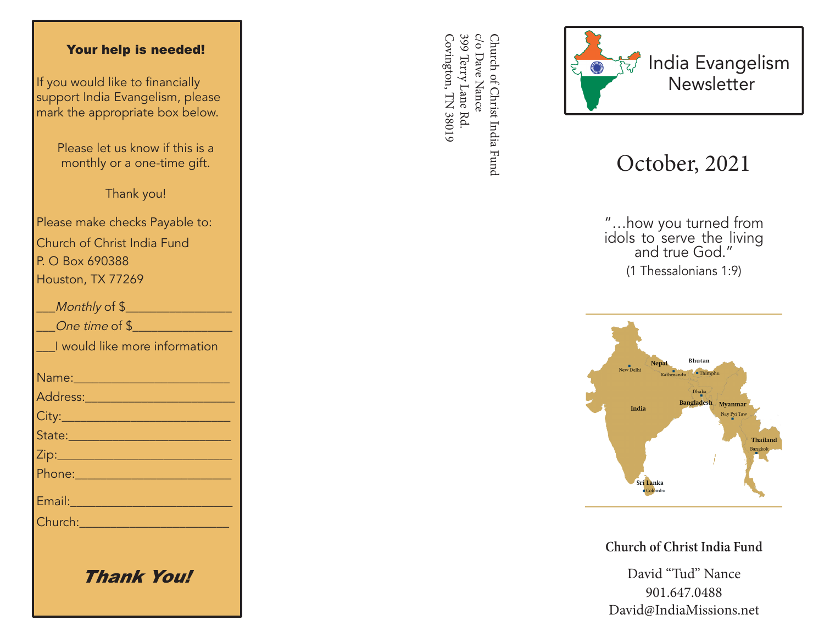## Your help is needed!

If you would like to financially support India Evangelism, please mark the appropriate box below.

> Please let us know if this is a monthly or a one-time gift.

> > Thank you!

Please make checks Payable to: Church of Christ India Fund P. O Box 690388 Houston, TX 77269

| Monthly of \$                                                                                                                                                                                                                        |
|--------------------------------------------------------------------------------------------------------------------------------------------------------------------------------------------------------------------------------------|
| One time of \$                                                                                                                                                                                                                       |
| I would like more information                                                                                                                                                                                                        |
|                                                                                                                                                                                                                                      |
| <u>Address: ________________________</u>                                                                                                                                                                                             |
|                                                                                                                                                                                                                                      |
| State: 2008 - 2008 - 2010 - 2010 - 2011 - 2012 - 2012 - 2012 - 2014 - 2012 - 2014 - 2014 - 2014 - 2014 - 2014                                                                                                                        |
|                                                                                                                                                                                                                                      |
|                                                                                                                                                                                                                                      |
| Email: 2008 - 2008 - 2014 - 2014 - 2014 - 2014 - 2014 - 2014 - 2014 - 2014 - 2014 - 2014 - 2014 - 2014 - 2014                                                                                                                        |
| Church: <u>Church Barbara and Barbara and Barbara and Barbara and Barbara and Barbara and Barbara and Barbara and Barbara and Barbara and Barbara and Barbara and Barbara and Barbara and Barbara and Barbara and Barbara and Ba</u> |
|                                                                                                                                                                                                                                      |
|                                                                                                                                                                                                                                      |

Thank You!

399 Terry Lane Rd c/o Dave Nance Covington, TN 38019 Covington, TN 38019 399 Terry Lane Rd. c/o Dave Nance Church of Christ India Fund Church of Christ India Fund



## October, 2021

"…how you turned from idols to serve the living and true God." (1 Thessalonians 1:9)



**Church of Christ India Fund**

David "Tud" Nance 901.647.0488 David@IndiaMissions.net